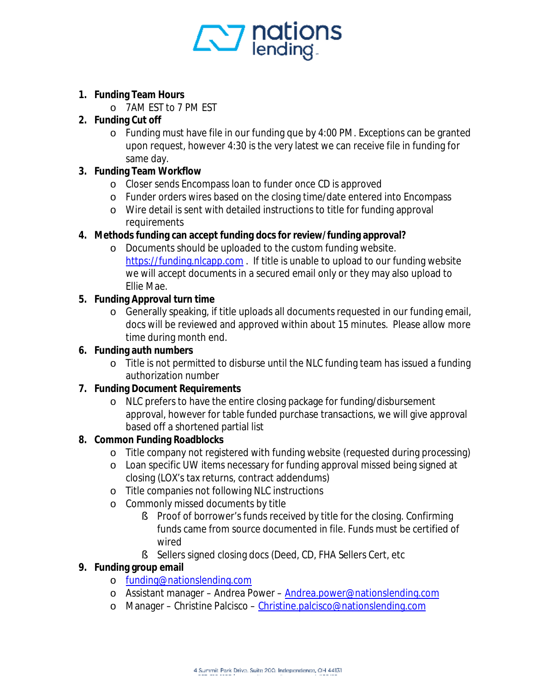

- **1. Funding Team Hours** 
	- o 7AM EST to 7 PM EST
- **2. Funding Cut off** 
	- o Funding must have file in our funding que by 4:00 PM. Exceptions can be granted upon request, however 4:30 is the very latest we can receive file in funding for same day.
- **3. Funding Team Workflow** 
	- o Closer sends Encompass loan to funder once CD is approved
	- o Funder orders wires based on the closing time/date entered into Encompass
	- o Wire detail is sent with detailed instructions to title for funding approval requirements
- **4. Methods funding can accept funding docs for review/funding approval?** 
	- o Documents should be uploaded to the custom funding website. <https://funding.nlcapp.com> . If title is unable to upload to our funding website we will accept documents in a secured email only or they may also upload to Ellie Mae.
- **5. Funding Approval turn time** 
	- o Generally speaking, if title uploads all documents requested in our funding email, docs will be reviewed and approved within about 15 minutes. Please allow more time during month end.
- **6. Funding auth numbers** 
	- o Title is not permitted to disburse until the NLC funding team has issued a funding authorization number
- **7. Funding Document Requirements** 
	- o NLC prefers to have the entire closing package for funding/disbursement approval, however for table funded purchase transactions, we will give approval based off a shortened partial list
- **8. Common Funding Roadblocks** 
	- o Title company not registered with funding website (requested during processing)
	- o Loan specific UW items necessary for funding approval missed being signed at closing (LOX's tax returns, contract addendums)
	- o Title companies not following NLC instructions
	- o Commonly missed documents by title
		- § Proof of borrower's funds received by title for the closing. Confirming funds came from source documented in file. Funds must be certified of wired
		- § Sellers signed closing docs (Deed, CD, FHA Sellers Cert, etc
- **9. Funding group email** 
	- o [funding@nationslending.com](mailto:funding@nationslending.com)
	- o Assistant manager Andrea Power – [Andrea.power@nationslending.com](mailto:Andrea.power@nationslending.com)
	- o Manager Christine Palcisco [Christine.palcisco@nationslending.com](mailto:Christine.palcisco@nationslending.com)